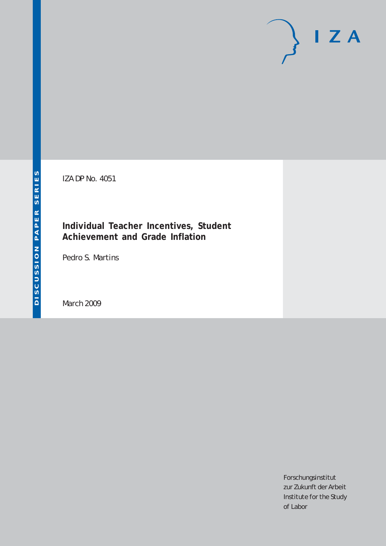# $I Z A$

IZA DP No. 4051

## **Individual Teacher Incentives, Student Achievement and Grade Inflation**

Pedro S. Martins

March 2009

Forschungsinstitut zur Zukunft der Arbeit Institute for the Study of Labor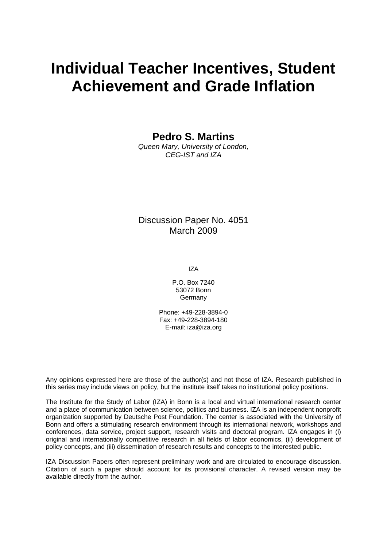## **Individual Teacher Incentives, Student Achievement and Grade Inflation**

**Pedro S. Martins** 

*Queen Mary, University of London, CEG-IST and IZA* 

Discussion Paper No. 4051 March 2009

IZA

P.O. Box 7240 53072 Bonn **Germany** 

Phone: +49-228-3894-0 Fax: +49-228-3894-180 E-mail: [iza@iza.org](mailto:iza@iza.org) 

Any opinions expressed here are those of the author(s) and not those of IZA. Research published in this series may include views on policy, but the institute itself takes no institutional policy positions.

The Institute for the Study of Labor (IZA) in Bonn is a local and virtual international research center and a place of communication between science, politics and business. IZA is an independent nonprofit organization supported by Deutsche Post Foundation. The center is associated with the University of Bonn and offers a stimulating research environment through its international network, workshops and conferences, data service, project support, research visits and doctoral program. IZA engages in (i) original and internationally competitive research in all fields of labor economics, (ii) development of policy concepts, and (iii) dissemination of research results and concepts to the interested public.

IZA Discussion Papers often represent preliminary work and are circulated to encourage discussion. Citation of such a paper should account for its provisional character. A revised version may be available directly from the author.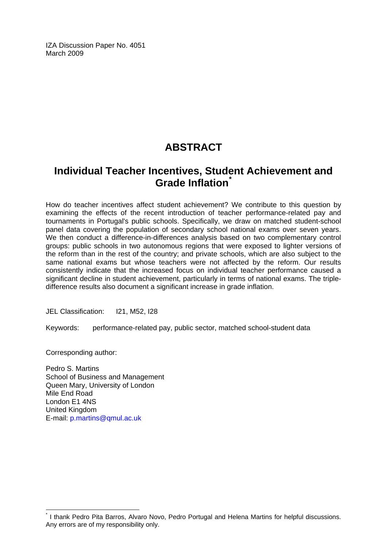IZA Discussion Paper No. 4051 March 2009

## **ABSTRACT**

## **Individual Teacher Incentives, Student Achievement and Grade Inflation[\\*](#page-2-0)**

How do teacher incentives affect student achievement? We contribute to this question by examining the effects of the recent introduction of teacher performance-related pay and tournaments in Portugal's public schools. Specifically, we draw on matched student-school panel data covering the population of secondary school national exams over seven years. We then conduct a difference-in-differences analysis based on two complementary control groups: public schools in two autonomous regions that were exposed to lighter versions of the reform than in the rest of the country; and private schools, which are also subject to the same national exams but whose teachers were not affected by the reform. Our results consistently indicate that the increased focus on individual teacher performance caused a significant decline in student achievement, particularly in terms of national exams. The tripledifference results also document a significant increase in grade inflation.

JEL Classification: I21, M52, I28

Keywords: performance-related pay, public sector, matched school-student data

Corresponding author:

 $\overline{a}$ 

Pedro S. Martins School of Business and Management Queen Mary, University of London Mile End Road London E1 4NS United Kingdom E-mail: [p.martins@qmul.ac.uk](mailto:p.martins@qmul.ac.uk)

<span id="page-2-0"></span><sup>\*</sup> I thank Pedro Pita Barros, Alvaro Novo, Pedro Portugal and Helena Martins for helpful discussions. Any errors are of my responsibility only.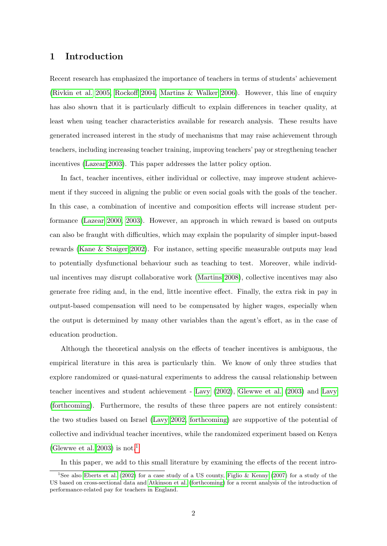#### 1 Introduction

Recent research has emphasized the importance of teachers in terms of students' achievement [\(Rivkin et al. 2005,](#page-19-0) [Rockoff 2004,](#page-19-1) [Martins & Walker 2006\)](#page-19-2). However, this line of enquiry has also shown that it is particularly difficult to explain differences in teacher quality, at least when using teacher characteristics available for research analysis. These results have generated increased interest in the study of mechanisms that may raise achievement through teachers, including increasing teacher training, improving teachers' pay or stregthening teacher incentives [\(Lazear 2003\)](#page-19-3). This paper addresses the latter policy option.

In fact, teacher incentives, either individual or collective, may improve student achievement if they succeed in aligning the public or even social goals with the goals of the teacher. In this case, a combination of incentive and composition effects will increase student performance [\(Lazear 2000,](#page-18-0) [2003\)](#page-19-3). However, an approach in which reward is based on outputs can also be fraught with difficulties, which may explain the popularity of simpler input-based rewards [\(Kane & Staiger 2002\)](#page-18-1). For instance, setting specific measurable outputs may lead to potentially dysfunctional behaviour such as teaching to test. Moreover, while individual incentives may disrupt collaborative work [\(Martins 2008\)](#page-19-4), collective incentives may also generate free riding and, in the end, little incentive effect. Finally, the extra risk in pay in output-based compensation will need to be compensated by higher wages, especially when the output is determined by many other variables than the agent's effort, as in the case of education production.

Although the theoretical analysis on the effects of teacher incentives is ambiguous, the empirical literature in this area is particularly thin. We know of only three studies that explore randomized or quasi-natural experiments to address the causal relationship between teacher incentives and student achievement - [Lavy](#page-18-2) [\(2002\)](#page-18-2), [Glewwe et al.](#page-18-3) [\(2003\)](#page-18-3) and [Lavy](#page-18-4) [\(forthcoming\)](#page-18-4). Furthermore, the results of these three papers are not entirely consistent: the two studies based on Israel [\(Lavy 2002,](#page-18-2) [forthcoming\)](#page-18-4) are supportive of the potential of collective and individual teacher incentives, while the randomized experiment based on Kenya [\(Glewwe et al. 2003\)](#page-18-3) is not.<sup>[1](#page-3-0)</sup>

<span id="page-3-0"></span>In this paper, we add to this small literature by examining the effects of the recent intro-

<sup>1</sup>See also [Eberts et al.](#page-18-5) [\(2002\)](#page-18-5) for a case study of a US county, [Figlio & Kenny](#page-18-6) [\(2007\)](#page-18-6) for a study of the US based on cross-sectional data and [Atkinson et al.](#page-18-7) [\(forthcoming\)](#page-18-7) for a recent analysis of the introduction of performance-related pay for teachers in England.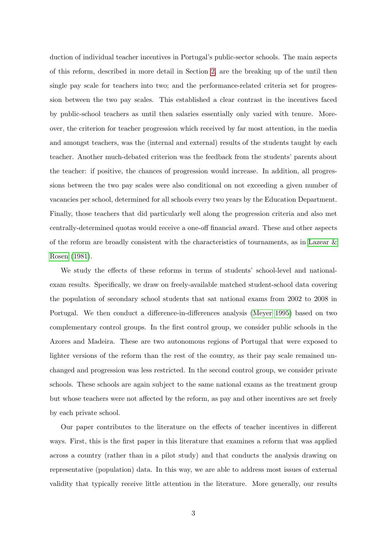duction of individual teacher incentives in Portugal's public-sector schools. The main aspects of this reform, described in more detail in Section [2,](#page-6-0) are the breaking up of the until then single pay scale for teachers into two; and the performance-related criteria set for progression between the two pay scales. This established a clear contrast in the incentives faced by public-school teachers as until then salaries essentially only varied with tenure. Moreover, the criterion for teacher progression which received by far most attention, in the media and amongst teachers, was the (internal and external) results of the students taught by each teacher. Another much-debated criterion was the feedback from the students' parents about the teacher: if positive, the chances of progression would increase. In addition, all progressions between the two pay scales were also conditional on not exceeding a given number of vacancies per school, determined for all schools every two years by the Education Department. Finally, those teachers that did particularly well along the progression criteria and also met centrally-determined quotas would receive a one-off financial award. These and other aspects of the reform are broadly consistent with the characteristics of tournaments, as in [Lazear &](#page-19-5) [Rosen](#page-19-5) [\(1981\)](#page-19-5).

We study the effects of these reforms in terms of students' school-level and nationalexam results. Specifically, we draw on freely-available matched student-school data covering the population of secondary school students that sat national exams from 2002 to 2008 in Portugal. We then conduct a difference-in-differences analysis [\(Meyer 1995\)](#page-19-6) based on two complementary control groups. In the first control group, we consider public schools in the Azores and Madeira. These are two autonomous regions of Portugal that were exposed to lighter versions of the reform than the rest of the country, as their pay scale remained unchanged and progression was less restricted. In the second control group, we consider private schools. These schools are again subject to the same national exams as the treatment group but whose teachers were not affected by the reform, as pay and other incentives are set freely by each private school.

Our paper contributes to the literature on the effects of teacher incentives in different ways. First, this is the first paper in this literature that examines a reform that was applied across a country (rather than in a pilot study) and that conducts the analysis drawing on representative (population) data. In this way, we are able to address most issues of external validity that typically receive little attention in the literature. More generally, our results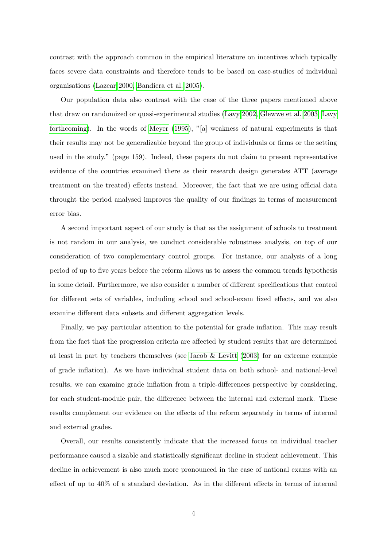contrast with the approach common in the empirical literature on incentives which typically faces severe data constraints and therefore tends to be based on case-studies of individual organisations [\(Lazear 2000,](#page-18-0) [Bandiera et al. 2005\)](#page-18-8).

Our population data also contrast with the case of the three papers mentioned above that draw on randomized or quasi-experimental studies [\(Lavy 2002,](#page-18-2) [Glewwe et al. 2003,](#page-18-3) [Lavy](#page-18-4) [forthcoming\)](#page-18-4). In the words of [Meyer](#page-19-6) [\(1995\)](#page-19-6), "[a] weakness of natural experiments is that their results may not be generalizable beyond the group of individuals or firms or the setting used in the study." (page 159). Indeed, these papers do not claim to present representative evidence of the countries examined there as their research design generates ATT (average treatment on the treated) effects instead. Moreover, the fact that we are using official data throught the period analysed improves the quality of our findings in terms of measurement error bias.

A second important aspect of our study is that as the assignment of schools to treatment is not random in our analysis, we conduct considerable robustness analysis, on top of our consideration of two complementary control groups. For instance, our analysis of a long period of up to five years before the reform allows us to assess the common trends hypothesis in some detail. Furthermore, we also consider a number of different specifications that control for different sets of variables, including school and school-exam fixed effects, and we also examine different data subsets and different aggregation levels.

Finally, we pay particular attention to the potential for grade inflation. This may result from the fact that the progression criteria are affected by student results that are determined at least in part by teachers themselves (see [Jacob & Levitt](#page-18-9) [\(2003\)](#page-18-9) for an extreme example of grade inflation). As we have individual student data on both school- and national-level results, we can examine grade inflation from a triple-differences perspective by considering, for each student-module pair, the difference between the internal and external mark. These results complement our evidence on the effects of the reform separately in terms of internal and external grades.

Overall, our results consistently indicate that the increased focus on individual teacher performance caused a sizable and statistically significant decline in student achievement. This decline in achievement is also much more pronounced in the case of national exams with an effect of up to 40% of a standard deviation. As in the different effects in terms of internal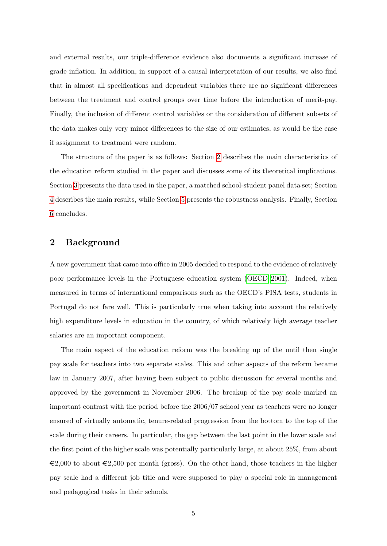and external results, our triple-difference evidence also documents a significant increase of grade inflation. In addition, in support of a causal interpretation of our results, we also find that in almost all specifications and dependent variables there are no significant differences between the treatment and control groups over time before the introduction of merit-pay. Finally, the inclusion of different control variables or the consideration of different subsets of the data makes only very minor differences to the size of our estimates, as would be the case if assignment to treatment were random.

The structure of the paper is as follows: Section [2](#page-6-0) describes the main characteristics of the education reform studied in the paper and discusses some of its theoretical implications. Section [3](#page-9-0) presents the data used in the paper, a matched school-student panel data set; Section [4](#page-11-0) describes the main results, while Section [5](#page-15-0) presents the robustness analysis. Finally, Section [6](#page-17-0) concludes.

#### <span id="page-6-0"></span>2 Background

A new government that came into office in 2005 decided to respond to the evidence of relatively poor performance levels in the Portuguese education system [\(OECD 2001\)](#page-19-7). Indeed, when measured in terms of international comparisons such as the OECD's PISA tests, students in Portugal do not fare well. This is particularly true when taking into account the relatively high expenditure levels in education in the country, of which relatively high average teacher salaries are an important component.

The main aspect of the education reform was the breaking up of the until then single pay scale for teachers into two separate scales. This and other aspects of the reform became law in January 2007, after having been subject to public discussion for several months and approved by the government in November 2006. The breakup of the pay scale marked an important contrast with the period before the 2006/07 school year as teachers were no longer ensured of virtually automatic, tenure-related progression from the bottom to the top of the scale during their careers. In particular, the gap between the last point in the lower scale and the first point of the higher scale was potentially particularly large, at about 25%, from about  $\epsilon$ 2,000 to about  $\epsilon$ 2,500 per month (gross). On the other hand, those teachers in the higher pay scale had a different job title and were supposed to play a special role in management and pedagogical tasks in their schools.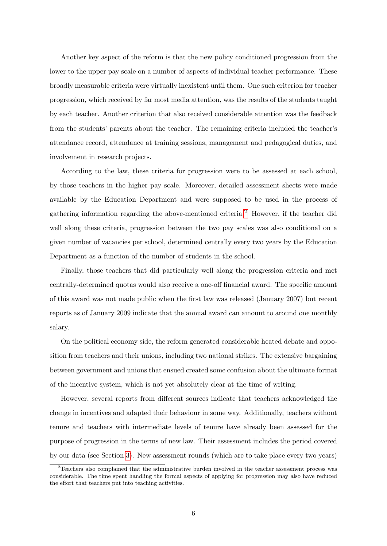Another key aspect of the reform is that the new policy conditioned progression from the lower to the upper pay scale on a number of aspects of individual teacher performance. These broadly measurable criteria were virtually inexistent until them. One such criterion for teacher progression, which received by far most media attention, was the results of the students taught by each teacher. Another criterion that also received considerable attention was the feedback from the students' parents about the teacher. The remaining criteria included the teacher's attendance record, attendance at training sessions, management and pedagogical duties, and involvement in research projects.

According to the law, these criteria for progression were to be assessed at each school, by those teachers in the higher pay scale. Moreover, detailed assessment sheets were made available by the Education Department and were supposed to be used in the process of gathering information regarding the above-mentioned criteria.[2](#page-7-0) However, if the teacher did well along these criteria, progression between the two pay scales was also conditional on a given number of vacancies per school, determined centrally every two years by the Education Department as a function of the number of students in the school.

Finally, those teachers that did particularly well along the progression criteria and met centrally-determined quotas would also receive a one-off financial award. The specific amount of this award was not made public when the first law was released (January 2007) but recent reports as of January 2009 indicate that the annual award can amount to around one monthly salary.

On the political economy side, the reform generated considerable heated debate and opposition from teachers and their unions, including two national strikes. The extensive bargaining between government and unions that ensued created some confusion about the ultimate format of the incentive system, which is not yet absolutely clear at the time of writing.

However, several reports from different sources indicate that teachers acknowledged the change in incentives and adapted their behaviour in some way. Additionally, teachers without tenure and teachers with intermediate levels of tenure have already been assessed for the purpose of progression in the terms of new law. Their assessment includes the period covered by our data (see Section [3\)](#page-9-0). New assessment rounds (which are to take place every two years)

<span id="page-7-0"></span><sup>2</sup>Teachers also complained that the administrative burden involved in the teacher assessment process was considerable. The time spent handling the formal aspects of applying for progression may also have reduced the effort that teachers put into teaching activities.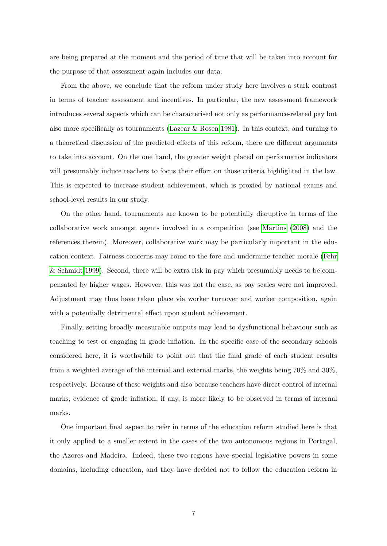are being prepared at the moment and the period of time that will be taken into account for the purpose of that assessment again includes our data.

From the above, we conclude that the reform under study here involves a stark contrast in terms of teacher assessment and incentives. In particular, the new assessment framework introduces several aspects which can be characterised not only as performance-related pay but also more specifically as tournaments (Lazear  $\&$  Rosen 1981). In this context, and turning to a theoretical discussion of the predicted effects of this reform, there are different arguments to take into account. On the one hand, the greater weight placed on performance indicators will presumably induce teachers to focus their effort on those criteria highlighted in the law. This is expected to increase student achievement, which is proxied by national exams and school-level results in our study.

On the other hand, tournaments are known to be potentially disruptive in terms of the collaborative work amongst agents involved in a competition (see [Martins](#page-19-4) [\(2008\)](#page-19-4) and the references therein). Moreover, collaborative work may be particularly important in the education context. Fairness concerns may come to the fore and undermine teacher morale [\(Fehr](#page-18-10) [& Schmidt 1999\)](#page-18-10). Second, there will be extra risk in pay which presumably needs to be compensated by higher wages. However, this was not the case, as pay scales were not improved. Adjustment may thus have taken place via worker turnover and worker composition, again with a potentially detrimental effect upon student achievement.

Finally, setting broadly measurable outputs may lead to dysfunctional behaviour such as teaching to test or engaging in grade inflation. In the specific case of the secondary schools considered here, it is worthwhile to point out that the final grade of each student results from a weighted average of the internal and external marks, the weights being 70% and 30%, respectively. Because of these weights and also because teachers have direct control of internal marks, evidence of grade inflation, if any, is more likely to be observed in terms of internal marks.

One important final aspect to refer in terms of the education reform studied here is that it only applied to a smaller extent in the cases of the two autonomous regions in Portugal, the Azores and Madeira. Indeed, these two regions have special legislative powers in some domains, including education, and they have decided not to follow the education reform in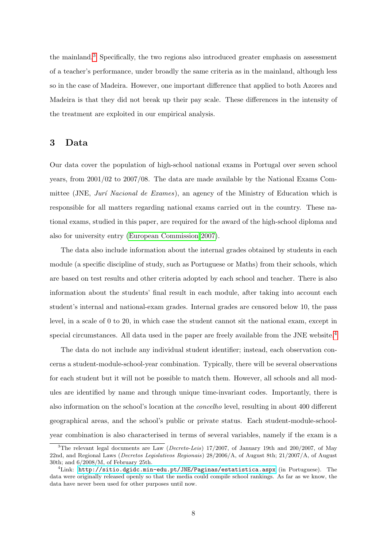the mainland.[3](#page-9-1) Specifically, the two regions also introduced greater emphasis on assessment of a teacher's performance, under broadly the same criteria as in the mainland, although less so in the case of Madeira. However, one important difference that applied to both Azores and Madeira is that they did not break up their pay scale. These differences in the intensity of the treatment are exploited in our empirical analysis.

#### <span id="page-9-0"></span>3 Data

Our data cover the population of high-school national exams in Portugal over seven school years, from 2001/02 to 2007/08. The data are made available by the National Exams Committee (JNE, Jurí Nacional de Exames), an agency of the Ministry of Education which is responsible for all matters regarding national exams carried out in the country. These national exams, studied in this paper, are required for the award of the high-school diploma and also for university entry [\(European Commission 2007\)](#page-18-11).

The data also include information about the internal grades obtained by students in each module (a specific discipline of study, such as Portuguese or Maths) from their schools, which are based on test results and other criteria adopted by each school and teacher. There is also information about the students' final result in each module, after taking into account each student's internal and national-exam grades. Internal grades are censored below 10, the pass level, in a scale of 0 to 20, in which case the student cannot sit the national exam, except in special circumstances. All data used in the paper are freely available from the JNE website.<sup>[4](#page-9-2)</sup>

The data do not include any individual student identifier; instead, each observation concerns a student-module-school-year combination. Typically, there will be several observations for each student but it will not be possible to match them. However, all schools and all modules are identified by name and through unique time-invariant codes. Importantly, there is also information on the school's location at the concelho level, resulting in about 400 different geographical areas, and the school's public or private status. Each student-module-schoolyear combination is also characterised in terms of several variables, namely if the exam is a

<span id="page-9-1"></span><sup>&</sup>lt;sup>3</sup>The relevant legal documents are Law (*Decreto-Leis*) 17/2007, of January 19th and 200/2007, of May 22nd, and Regional Laws (Decretos Legislativos Regionais) 28/2006/A, of August 8th; 21/2007/A, of August 30th; and 6/2008/M, of February 25th.

<span id="page-9-2"></span> ${}^{4}$ Link: <http://sitio.dgidc.min-edu.pt/JNE/Paginas/estatistica.aspx> (in Portuguese). The data were originally released openly so that the media could compile school rankings. As far as we know, the data have never been used for other purposes until now.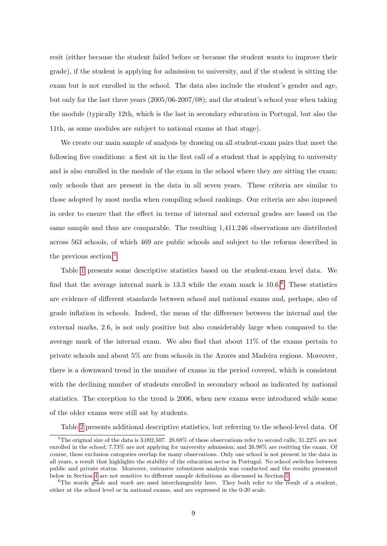resit (either because the student failed before or because the student wants to improve their grade), if the student is applying for admission to university, and if the student is sitting the exam but is not enrolled in the school. The data also include the student's gender and age, but only for the last three years (2005/06-2007/08); and the student's school year when taking the module (typically 12th, which is the last in secondary education in Portugal, but also the 11th, as some modules are subject to national exams at that stage).

We create our main sample of analysis by drawing on all student-exam pairs that meet the following five conditions: a first sit in the first call of a student that is applying to university and is also enrolled in the module of the exam in the school where they are sitting the exam; only schools that are present in the data in all seven years. These criteria are similar to those adopted by most media when compiling school rankings. Our criteria are also imposed in order to ensure that the effect in terms of internal and external grades are based on the same sample and thus are comparable. The resulting 1,411,246 observations are distributed across 563 schools, of which 469 are public schools and subject to the reforms described in the previous section.<sup>[5](#page-10-0)</sup>

Table [1](#page-22-0) presents some descriptive statistics based on the student-exam level data. We find that the average internal mark is  $13.3$  while the exam mark is  $10.6<sup>6</sup>$  $10.6<sup>6</sup>$  $10.6<sup>6</sup>$  These statistics are evidence of different standards between school and national exams and, perhaps, also of grade inflation in schools. Indeed, the mean of the difference between the internal and the external marks, 2.6, is not only positive but also considerably large when compared to the average mark of the internal exam. We also find that about 11% of the exams pertain to private schools and about 5% are from schools in the Azores and Madeira regions. Moreover, there is a downward trend in the number of exams in the period covered, which is consistent with the declining number of students enrolled in secondary school as indicated by national statistics. The exception to the trend is 2006, when new exams were introduced while some of the older exams were still sat by students.

<span id="page-10-0"></span>Table [2](#page-23-0) presents additional descriptive statistics, but referring to the school-level data. Of

<sup>5</sup>The original size of the data is 3,092,507. 28.68% of these observations refer to second calls; 31.22% are not enrolled in the school; 7.73% are not applying for university admission; and 26.98% are resitting the exam. Of course, these exclusion categories overlap for many observations. Only one school is not present in the data in all years, a result that highlights the stability of the education sector in Portugal. No school switches between public and private status. Moreover, extensive robustness analysis was conducted and the results presented below in Section [4](#page-11-0) are not sensitive to different sample definitions as discussed in Section [5.](#page-15-0)

<span id="page-10-1"></span> $6$ The words *grade* and *mark* are used interchangeably here. They both refer to the result of a student, either at the school level or in national exams, and are expressed in the 0-20 scale.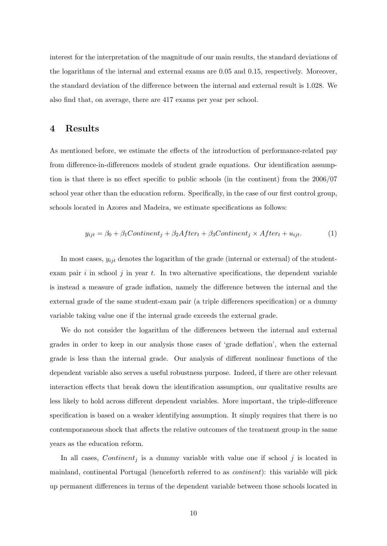interest for the interpretation of the magnitude of our main results, the standard deviations of the logarithms of the internal and external exams are 0.05 and 0.15, respectively. Moreover, the standard deviation of the difference between the internal and external result is 1.028. We also find that, on average, there are 417 exams per year per school.

#### <span id="page-11-0"></span>4 Results

As mentioned before, we estimate the effects of the introduction of performance-related pay from difference-in-differences models of student grade equations. Our identification assumption is that there is no effect specific to public schools (in the continent) from the 2006/07 school year other than the education reform. Specifically, in the case of our first control group, schools located in Azores and Madeira, we estimate specifications as follows:

<span id="page-11-1"></span>
$$
y_{ijt} = \beta_0 + \beta_1 Continent_j + \beta_2 After_t + \beta_3 Continent_j \times After_t + u_{ijt}.
$$
 (1)

In most cases,  $y_{ijt}$  denotes the logarithm of the grade (internal or external) of the studentexam pair  $i$  in school  $j$  in year  $t$ . In two alternative specifications, the dependent variable is instead a measure of grade inflation, namely the difference between the internal and the external grade of the same student-exam pair (a triple differences specification) or a dummy variable taking value one if the internal grade exceeds the external grade.

We do not consider the logarithm of the differences between the internal and external grades in order to keep in our analysis those cases of 'grade deflation', when the external grade is less than the internal grade. Our analysis of different nonlinear functions of the dependent variable also serves a useful robustness purpose. Indeed, if there are other relevant interaction effects that break down the identification assumption, our qualitative results are less likely to hold across different dependent variables. More important, the triple-difference specification is based on a weaker identifying assumption. It simply requires that there is no contemporaneous shock that affects the relative outcomes of the treatment group in the same years as the education reform.

In all cases, *Continent<sub>i</sub>* is a dummy variable with value one if school j is located in mainland, continental Portugal (henceforth referred to as continent): this variable will pick up permanent differences in terms of the dependent variable between those schools located in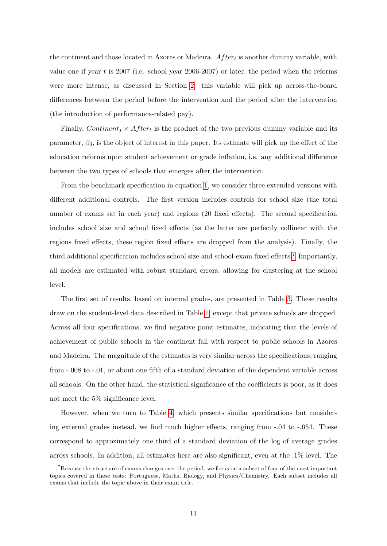the continent and those located in Azores or Madeira.  $After<sub>t</sub>$  is another dummy variable, with value one if year  $t$  is 2007 (i.e. school year 2006-2007) or later, the period when the reforms were more intense, as discussed in Section [2:](#page-6-0) this variable will pick up across-the-board differences between the period before the intervention and the period after the intervention (the introduction of performance-related pay).

Finally, Continent<sub>j</sub>  $\times$  After<sub>t</sub> is the product of the two previous dummy variable and its parameter,  $\beta_3$ , is the object of interest in this paper. Its estimate will pick up the effect of the education reforms upon student achievement or grade inflation, i.e. any additional difference between the two types of schools that emerges after the intervention.

From the benchmark specification in equation [1,](#page-11-1) we consider three extended versions with different additional controls. The first version includes controls for school size (the total number of exams sat in each year) and regions (20 fixed effects). The second specification includes school size and school fixed effects (as the latter are perfectly collinear with the regions fixed effects, these region fixed effects are dropped from the analysis). Finally, the third additional specification includes school size and school-exam fixed effects.<sup>[7](#page-12-0)</sup> Importantly, all models are estimated with robust standard errors, allowing for clustering at the school level.

The first set of results, based on internal grades, are presented in Table [3.](#page-24-0) These results draw on the student-level data described in Table [1,](#page-22-0) except that private schools are dropped. Across all four specifications, we find negative point estimates, indicating that the levels of achievement of public schools in the continent fall with respect to public schools in Azores and Madeira. The magnitude of the estimates is very similar across the specifications, ranging from -.008 to -.01, or about one fifth of a standard deviation of the dependent variable across all schools. On the other hand, the statistical significance of the coefficients is poor, as it does not meet the 5% significance level.

However, when we turn to Table [4,](#page-25-0) which presents similar specifications but considering external grades instead, we find much higher effects, ranging from -.04 to -.054. These correspond to approximately one third of a standard deviation of the log of average grades across schools. In addition, all estimates here are also significant, even at the .1% level. The

<span id="page-12-0"></span><sup>7</sup>Because the structure of exams changes over the period, we focus on a subset of four of the most important topics covered in these tests: Portuguese, Maths, Biology, and Physics/Chemistry. Each subset includes all exams that include the topic above in their exam title.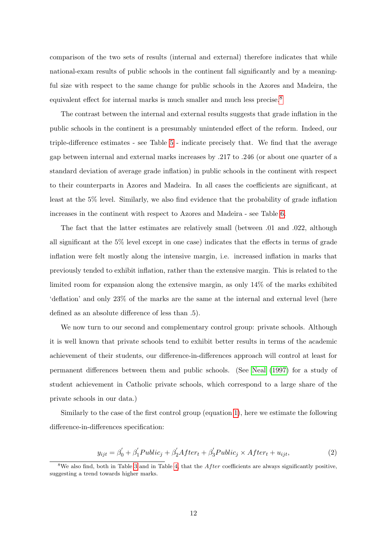comparison of the two sets of results (internal and external) therefore indicates that while national-exam results of public schools in the continent fall significantly and by a meaningful size with respect to the same change for public schools in the Azores and Madeira, the equivalent effect for internal marks is much smaller and much less precise.<sup>[8](#page-13-0)</sup>

The contrast between the internal and external results suggests that grade inflation in the public schools in the continent is a presumably unintended effect of the reform. Indeed, our triple-difference estimates - see Table [5](#page-26-0) - indicate precisely that. We find that the average gap between internal and external marks increases by .217 to .246 (or about one quarter of a standard deviation of average grade inflation) in public schools in the continent with respect to their counterparts in Azores and Madeira. In all cases the coefficients are significant, at least at the 5% level. Similarly, we also find evidence that the probability of grade inflation increases in the continent with respect to Azores and Madeira - see Table [6.](#page-27-0)

The fact that the latter estimates are relatively small (between .01 and .022, although all significant at the 5% level except in one case) indicates that the effects in terms of grade inflation were felt mostly along the intensive margin, i.e. increased inflation in marks that previously tended to exhibit inflation, rather than the extensive margin. This is related to the limited room for expansion along the extensive margin, as only 14% of the marks exhibited 'deflation' and only 23% of the marks are the same at the internal and external level (here defined as an absolute difference of less than .5).

We now turn to our second and complementary control group: private schools. Although it is well known that private schools tend to exhibit better results in terms of the academic achievement of their students, our difference-in-differences approach will control at least for permanent differences between them and public schools. (See [Neal](#page-19-8) [\(1997\)](#page-19-8) for a study of student achievement in Catholic private schools, which correspond to a large share of the private schools in our data.)

Similarly to the case of the first control group (equation [1\)](#page-11-1), here we estimate the following difference-in-differences specification:

<span id="page-13-1"></span>
$$
y_{ijt} = \beta_0' + \beta_1' \text{Public}_j + \beta_2' \text{After}_t + \beta_3' \text{Public}_j \times \text{After}_t + u_{ijt},\tag{2}
$$

<span id="page-13-0"></span> $8\text{We also find, both in Table 3 and in Table 4, that the After coefficients are always significantly positive,}$  $8\text{We also find, both in Table 3 and in Table 4, that the After coefficients are always significantly positive,}$  $8\text{We also find, both in Table 3 and in Table 4, that the After coefficients are always significantly positive,}$  $8\text{We also find, both in Table 3 and in Table 4, that the After coefficients are always significantly positive,}$  $8\text{We also find, both in Table 3 and in Table 4, that the After coefficients are always significantly positive,}$ suggesting a trend towards higher marks.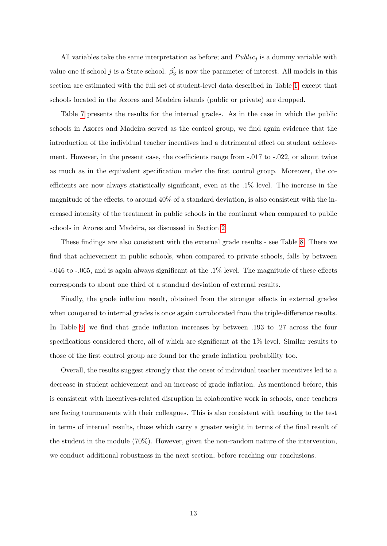All variables take the same interpretation as before; and  $Public_j$  is a dummy variable with value one if school j is a State school.  $\beta_2$ <sup>2</sup>  $s'_{3}$  is now the parameter of interest. All models in this section are estimated with the full set of student-level data described in Table [1,](#page-22-0) except that schools located in the Azores and Madeira islands (public or private) are dropped.

Table [7](#page-28-0) presents the results for the internal grades. As in the case in which the public schools in Azores and Madeira served as the control group, we find again evidence that the introduction of the individual teacher incentives had a detrimental effect on student achievement. However, in the present case, the coefficients range from -.017 to -.022, or about twice as much as in the equivalent specification under the first control group. Moreover, the coefficients are now always statistically significant, even at the .1% level. The increase in the magnitude of the effects, to around 40% of a standard deviation, is also consistent with the increased intensity of the treatment in public schools in the continent when compared to public schools in Azores and Madeira, as discussed in Section [2.](#page-6-0)

These findings are also consistent with the external grade results - see Table [8.](#page-29-0) There we find that achievement in public schools, when compared to private schools, falls by between -.046 to -.065, and is again always significant at the .1% level. The magnitude of these effects corresponds to about one third of a standard deviation of external results.

Finally, the grade inflation result, obtained from the stronger effects in external grades when compared to internal grades is once again corroborated from the triple-difference results. In Table [9,](#page-30-0) we find that grade inflation increases by between .193 to .27 across the four specifications considered there, all of which are significant at the 1% level. Similar results to those of the first control group are found for the grade inflation probability too.

Overall, the results suggest strongly that the onset of individual teacher incentives led to a decrease in student achievement and an increase of grade inflation. As mentioned before, this is consistent with incentives-related disruption in colaborative work in schools, once teachers are facing tournaments with their colleagues. This is also consistent with teaching to the test in terms of internal results, those which carry a greater weight in terms of the final result of the student in the module (70%). However, given the non-random nature of the intervention, we conduct additional robustness in the next section, before reaching our conclusions.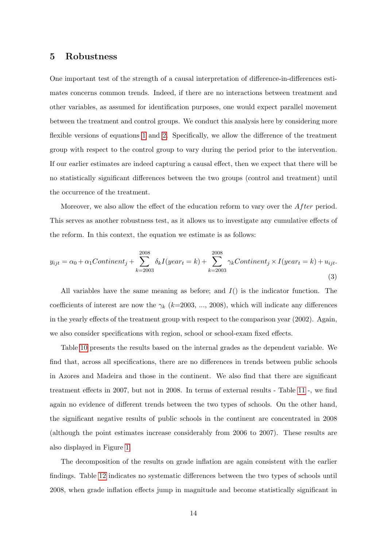#### <span id="page-15-0"></span>5 Robustness

One important test of the strength of a causal interpretation of difference-in-differences estimates concerns common trends. Indeed, if there are no interactions between treatment and other variables, as assumed for identification purposes, one would expect parallel movement between the treatment and control groups. We conduct this analysis here by considering more flexible versions of equations [1](#page-11-1) and [2.](#page-13-1) Specifically, we allow the difference of the treatment group with respect to the control group to vary during the period prior to the intervention. If our earlier estimates are indeed capturing a causal effect, then we expect that there will be no statistically significant differences between the two groups (control and treatment) until the occurrence of the treatment.

Moreover, we also allow the effect of the education reform to vary over the  $After$  period. This serves as another robustness test, as it allows us to investigate any cumulative effects of the reform. In this context, the equation we estimate is as follows:

$$
y_{ijt} = \alpha_0 + \alpha_1 Continent_j + \sum_{k=2003}^{2008} \delta_k I(year_t = k) + \sum_{k=2003}^{2008} \gamma_k Continent_j \times I(year_t = k) + u_{ijt}.
$$
\n(3)

All variables have the same meaning as before; and  $I()$  is the indicator function. The coefficients of interest are now the  $\gamma_k$  (k=2003, ..., 2008), which will indicate any differences in the yearly effects of the treatment group with respect to the comparison year (2002). Again, we also consider specifications with region, school or school-exam fixed effects.

Table [10](#page-31-0) presents the results based on the internal grades as the dependent variable. We find that, across all specifications, there are no differences in trends between public schools in Azores and Madeira and those in the continent. We also find that there are significant treatment effects in 2007, but not in 2008. In terms of external results - Table [11](#page-32-0) -, we find again no evidence of different trends between the two types of schools. On the other hand, the significant negative results of public schools in the continent are concentrated in 2008 (although the point estimates increase considerably from 2006 to 2007). These results are also displayed in Figure [1.](#page-20-0)

The decomposition of the results on grade inflation are again consistent with the earlier findings. Table [12](#page-33-0) indicates no systematic differences between the two types of schools until 2008, when grade inflation effects jump in magnitude and become statistically significant in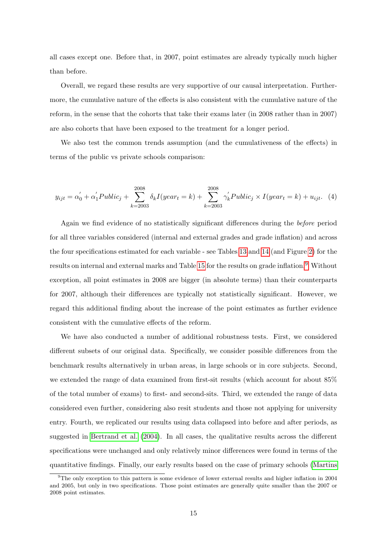all cases except one. Before that, in 2007, point estimates are already typically much higher than before.

Overall, we regard these results are very supportive of our causal interpretation. Furthermore, the cumulative nature of the effects is also consistent with the cumulative nature of the reform, in the sense that the cohorts that take their exams later (in 2008 rather than in 2007) are also cohorts that have been exposed to the treatment for a longer period.

We also test the common trends assumption (and the cumulativeness of the effects) in terms of the public vs private schools comparison:

$$
y_{ijt} = \alpha_0' + \alpha_1' \text{Public}_j + \sum_{k=2003}^{2008} \delta_k I(year_t = k) + \sum_{k=2003}^{2008} \gamma_k' \text{Public}_j \times I(year_t = k) + u_{ijt}. \tag{4}
$$

Again we find evidence of no statistically significant differences during the before period for all three variables considered (internal and external grades and grade inflation) and across the four specifications estimated for each variable - see Tables [13](#page-34-0) and [14](#page-35-0) (and Figure [2\)](#page-21-0) for the results on internal and external marks and Table [15](#page-36-0) for the results on grade inflation.<sup>[9](#page-16-0)</sup> Without exception, all point estimates in 2008 are bigger (in absolute terms) than their counterparts for 2007, although their differences are typically not statistically significant. However, we regard this additional finding about the increase of the point estimates as further evidence consistent with the cumulative effects of the reform.

We have also conducted a number of additional robustness tests. First, we considered different subsets of our original data. Specifically, we consider possible differences from the benchmark results alternatively in urban areas, in large schools or in core subjects. Second, we extended the range of data examined from first-sit results (which account for about 85% of the total number of exams) to first- and second-sits. Third, we extended the range of data considered even further, considering also resit students and those not applying for university entry. Fourth, we replicated our results using data collapsed into before and after periods, as suggested in [Bertrand et al.](#page-18-12) [\(2004\)](#page-18-12). In all cases, the qualitative results across the different specifications were unchanged and only relatively minor differences were found in terms of the quantitative findings. Finally, our early results based on the case of primary schools [\(Martins](#page-19-9)

<span id="page-16-0"></span><sup>9</sup>The only exception to this pattern is some evidence of lower external results and higher inflation in 2004 and 2005, but only in two specifications. Those point estimates are generally quite smaller than the 2007 or 2008 point estimates.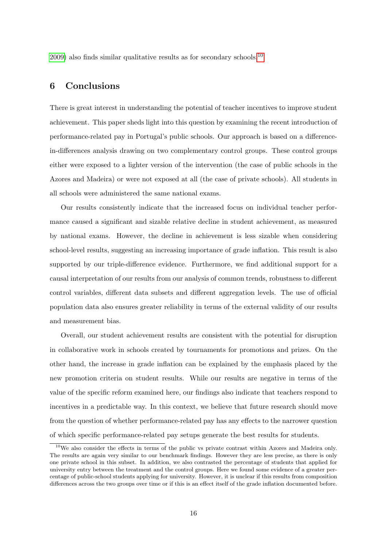[2009\)](#page-19-9) also finds similar qualitative results as for secondary schools.[10](#page-17-1)

#### <span id="page-17-0"></span>6 Conclusions

There is great interest in understanding the potential of teacher incentives to improve student achievement. This paper sheds light into this question by examining the recent introduction of performance-related pay in Portugal's public schools. Our approach is based on a differencein-differences analysis drawing on two complementary control groups. These control groups either were exposed to a lighter version of the intervention (the case of public schools in the Azores and Madeira) or were not exposed at all (the case of private schools). All students in all schools were administered the same national exams.

Our results consistently indicate that the increased focus on individual teacher performance caused a significant and sizable relative decline in student achievement, as measured by national exams. However, the decline in achievement is less sizable when considering school-level results, suggesting an increasing importance of grade inflation. This result is also supported by our triple-difference evidence. Furthermore, we find additional support for a causal interpretation of our results from our analysis of common trends, robustness to different control variables, different data subsets and different aggregation levels. The use of official population data also ensures greater reliability in terms of the external validity of our results and measurement bias.

Overall, our student achievement results are consistent with the potential for disruption in collaborative work in schools created by tournaments for promotions and prizes. On the other hand, the increase in grade inflation can be explained by the emphasis placed by the new promotion criteria on student results. While our results are negative in terms of the value of the specific reform examined here, our findings also indicate that teachers respond to incentives in a predictable way. In this context, we believe that future research should move from the question of whether performance-related pay has any effects to the narrower question of which specific performance-related pay setups generate the best results for students.

<span id="page-17-1"></span> $10$ We also consider the effects in terms of the public vs private contrast within Azores and Madeira only. The results are again very similar to our benchmark findings. However they are less precise, as there is only one private school in this subset. In addition, we also contrasted the percentage of students that applied for university entry between the treatment and the control groups. Here we found some evidence of a greater percentage of public-school students applying for university. However, it is unclear if this results from composition differences across the two groups over time or if this is an effect itself of the grade inflation documented before.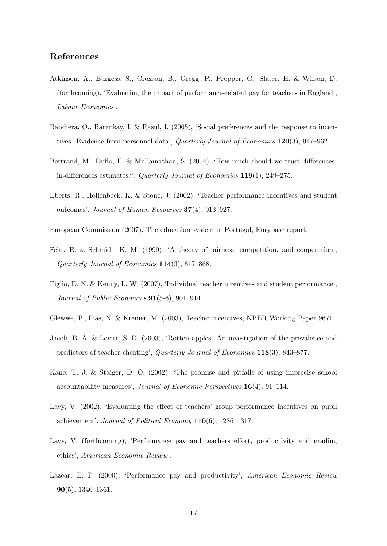#### References

- <span id="page-18-7"></span>Atkinson, A., Burgess, S., Croxson, B., Gregg, P., Propper, C., Slater, H. & Wilson, D. (forthcoming), 'Evaluating the impact of performance-related pay for teachers in England', Labour Economics .
- <span id="page-18-8"></span>Bandiera, O., Barankay, I. & Rasul, I. (2005), 'Social preferences and the response to incentives: Evidence from personnel data', *Quarterly Journal of Economics* 120(3), 917–962.
- <span id="page-18-12"></span>Bertrand, M., Duflo, E. & Mullainathan, S. (2004), 'How much should we trust differencesin-differences estimates?', Quarterly Journal of Economics 119(1), 249–275.
- <span id="page-18-5"></span>Eberts, R., Hollenbeck, K. & Stone, J. (2002), 'Teacher performance incentives and student outcomes', Journal of Human Resources 37(4), 913–927.
- <span id="page-18-11"></span>European Commission (2007), The education system in Portugal, Eurybase report.
- <span id="page-18-10"></span>Fehr, E. & Schmidt, K. M. (1999), 'A theory of fairness, competition, and cooperation', Quarterly Journal of Economics 114(3), 817–868.
- <span id="page-18-6"></span>Figlio, D. N. & Kenny, L. W. (2007), 'Individual teacher incentives and student performance', Journal of Public Economics 91(5-6), 901–914.
- <span id="page-18-3"></span>Glewwe, P., Ilias, N. & Kremer, M. (2003), Teacher incentives, NBER Working Paper 9671.
- <span id="page-18-9"></span>Jacob, B. A. & Levitt, S. D. (2003), 'Rotten apples: An investigation of the prevalence and predictors of teacher cheating', Quarterly Journal of Economics 118(3), 843–877.
- <span id="page-18-1"></span>Kane, T. J. & Staiger, D. O. (2002), 'The promise and pitfalls of using imprecise school accountability measures', Journal of Economic Perspectives 16(4), 91–114.
- <span id="page-18-2"></span>Lavy, V. (2002), 'Evaluating the effect of teachers' group performance incentives on pupil achievement', Journal of Political Economy 110(6), 1286–1317.
- <span id="page-18-4"></span>Lavy, V. (forthcoming), 'Performance pay and teachers effort, productivity and grading ethics', American Economic Review .
- <span id="page-18-0"></span>Lazear, E. P. (2000), 'Performance pay and productivity', American Economic Review 90(5), 1346–1361.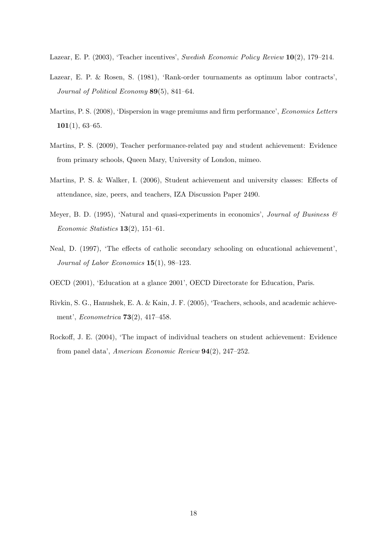<span id="page-19-3"></span>Lazear, E. P. (2003), 'Teacher incentives', Swedish Economic Policy Review 10(2), 179–214.

- <span id="page-19-5"></span>Lazear, E. P. & Rosen, S. (1981), 'Rank-order tournaments as optimum labor contracts', Journal of Political Economy 89(5), 841–64.
- <span id="page-19-4"></span>Martins, P. S. (2008), 'Dispersion in wage premiums and firm performance', Economics Letters  $101(1), 63-65.$
- <span id="page-19-9"></span>Martins, P. S. (2009), Teacher performance-related pay and student achievement: Evidence from primary schools, Queen Mary, University of London, mimeo.
- <span id="page-19-2"></span>Martins, P. S. & Walker, I. (2006), Student achievement and university classes: Effects of attendance, size, peers, and teachers, IZA Discussion Paper 2490.
- <span id="page-19-6"></span>Meyer, B. D. (1995), 'Natural and quasi-experiments in economics', Journal of Business  $\mathscr$ Economic Statistics  $13(2)$ , 151–61.
- <span id="page-19-8"></span>Neal, D. (1997), 'The effects of catholic secondary schooling on educational achievement', Journal of Labor Economics 15(1), 98–123.
- <span id="page-19-7"></span>OECD (2001), 'Education at a glance 2001', OECD Directorate for Education, Paris.
- <span id="page-19-0"></span>Rivkin, S. G., Hanushek, E. A. & Kain, J. F. (2005), 'Teachers, schools, and academic achievement', Econometrica 73(2), 417–458.
- <span id="page-19-1"></span>Rockoff, J. E. (2004), 'The impact of individual teachers on student achievement: Evidence from panel data', American Economic Review 94(2), 247–252.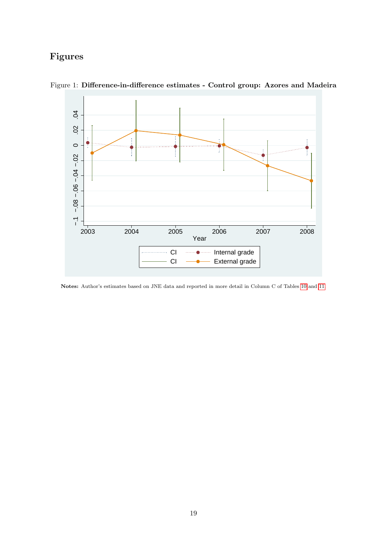## Figures

<span id="page-20-0"></span>

Figure 1: Difference-in-difference estimates - Control group: Azores and Madeira

Notes: Author's estimates based on JNE data and reported in more detail in Column C of Tables [10](#page-31-0) and [11.](#page-32-0)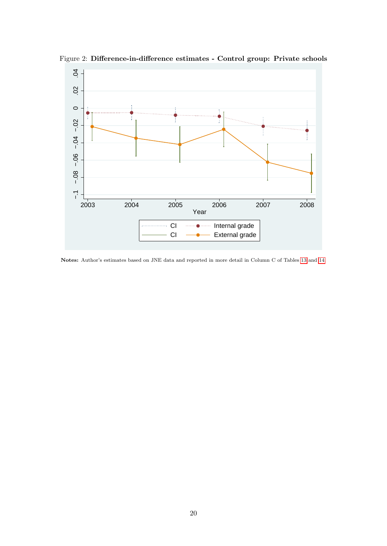<span id="page-21-0"></span>

Figure 2: Difference-in-difference estimates - Control group: Private schools

Notes: Author's estimates based on JNE data and reported in more detail in Column C of Tables [13](#page-34-0) and [14.](#page-35-0)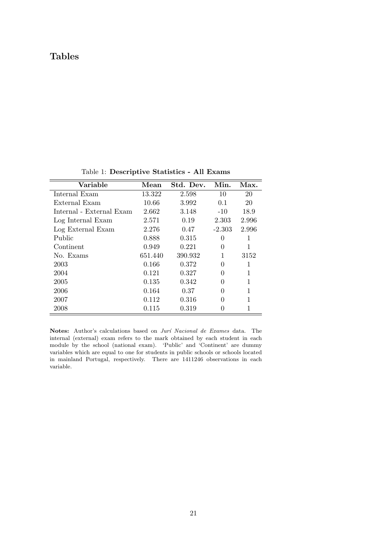### Tables

| Variable                 | Mean    | Std. Dev. | Min.     | Max.  |
|--------------------------|---------|-----------|----------|-------|
| Internal Exam            | 13.322  | 2.598     | 10       | 20    |
| External Exam            | 10.66   | 3.992     | 0.1      | 20    |
| Internal - External Exam | 2.662   | 3.148     | $-10$    | 18.9  |
| Log Internal Exam        | 2.571   | 0.19      | 2.303    | 2.996 |
| Log External Exam        | 2.276   | 0.47      | $-2.303$ | 2.996 |
| Public                   | 0.888   | 0.315     | 0        | 1     |
| Continent                | 0.949   | 0.221     | $\theta$ | 1     |
| No. Exams                | 651.440 | 390.932   | 1        | 3152  |
| 2003                     | 0.166   | 0.372     | 0        | 1     |
| 2004                     | 0.121   | 0.327     | 0        | 1     |
| 2005                     | 0.135   | 0.342     | 0        | 1     |
| 2006                     | 0.164   | 0.37      | 0        | 1     |
| 2007                     | 0.112   | 0.316     | 0        | 1     |
| 2008                     | 0.115   | 0.319     |          |       |

<span id="page-22-0"></span>Table 1: Descriptive Statistics - All Exams

Notes: Author's calculations based on Jurí Nacional de Exames data. The internal (external) exam refers to the mark obtained by each student in each module by the school (national exam). 'Public' and 'Continent' are dummy variables which are equal to one for students in public schools or schools located in mainland Portugal, respectively. There are 1411246 observations in each variable.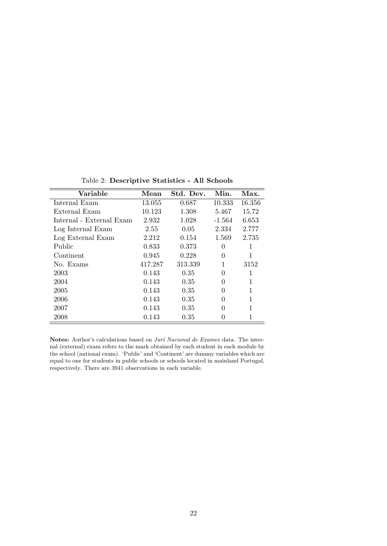| Variable                 | Mean    | Std. Dev. | Min.     | Max.   |
|--------------------------|---------|-----------|----------|--------|
| Internal Exam            | 13.055  | 0.687     | 10.333   | 16.356 |
| External Exam            | 10.123  | 1.308     | 5.467    | 15.72  |
| Internal - External Exam | 2.932   | 1.028     | $-1.564$ | 6.653  |
| Log Internal Exam        | 2.55    | 0.05      | 2.334    | 2.777  |
| Log External Exam        | 2.212   | 0.154     | 1.569    | 2.735  |
| Public                   | 0.833   | 0.373     | 0        | 1      |
| Continent                | 0.945   | 0.228     | 0        | 1      |
| No. Exams                | 417.287 | 313.339   | 1        | 3152   |
| 2003                     | 0.143   | 0.35      | 0        | 1      |
| 2004                     | 0.143   | 0.35      | 0        | 1      |
| 2005                     | 0.143   | 0.35      | 0        | 1      |
| 2006                     | 0.143   | 0.35      | 0        | 1      |
| 2007                     | 0.143   | 0.35      | 0        | 1      |
| 2008                     | 0.143   | 0.35      |          | 1      |

<span id="page-23-0"></span>Table 2: Descriptive Statistics - All Schools

Notes: Author's calculations based on Jurí Nacional de Exames data. The internal (external) exam refers to the mark obtained by each student in each module by the school (national exam). 'Public' and 'Continent' are dummy variables which are equal to one for students in public schools or schools located in mainland Portugal, respectively. There are 3941 observations in each variable.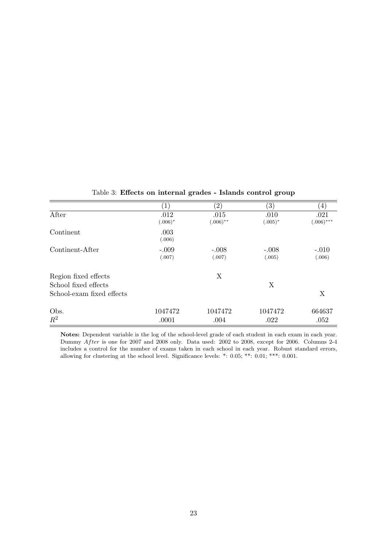|                           | $\mathbf{1}$       | $\left( 2\right)$   | $\left(3\right)$   | $\left(4\right)$     |
|---------------------------|--------------------|---------------------|--------------------|----------------------|
| After                     | .012<br>$(.006)^*$ | .015<br>$(.006)$ ** | .010<br>$(.005)^*$ | .021<br>$(.006)$ *** |
| Continent                 | .003<br>(.006)     |                     |                    |                      |
| Continent-After           | $-.009$<br>(.007)  | $-.008$<br>(.007)   | $-.008$<br>(.005)  | $-.010$<br>(.006)    |
| Region fixed effects      |                    | X                   |                    |                      |
| School fixed effects      |                    |                     | Χ                  |                      |
| School-exam fixed effects |                    |                     |                    | X                    |
| Obs.                      | 1047472            | 1047472             | 1047472            | 664637               |
| $R^2$                     | .0001              | .004                | .022               | .052                 |

<span id="page-24-0"></span>Table 3: Effects on internal grades - Islands control group

Notes: Dependent variable is the log of the school-level grade of each student in each exam in each year. Dummy After is one for 2007 and 2008 only. Data used: 2002 to 2008, except for 2006. Columns 2-4 includes a control for the number of exams taken in each school in each year. Robust standard errors, allowing for clustering at the school level. Significance levels: \*: 0.05; \*\*: 0.01; \*\*\*: 0.001.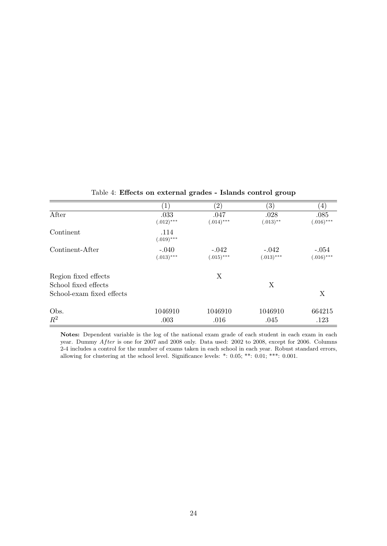|                           | $\left  \right $        | $\left( 2\right)$       | $\left(3\right)$        | $\left( 4\right)$       |
|---------------------------|-------------------------|-------------------------|-------------------------|-------------------------|
| After                     | .033<br>$(.012)$ ***    | .047<br>$(.014)$ ***    | .028<br>$(.013)$ **     | .085<br>$(.016)$ ***    |
| Continent                 | .114<br>$(.019)$ ***    |                         |                         |                         |
| Continent-After           | $-.040$<br>$(.013)$ *** | $-.042$<br>$(.015)$ *** | $-.042$<br>$(.013)$ *** | $-.054$<br>$(.016)$ *** |
| Region fixed effects      |                         | X                       |                         |                         |
| School fixed effects      |                         |                         | X                       |                         |
| School-exam fixed effects |                         |                         |                         | X                       |
| Obs.                      | 1046910                 | 1046910                 | 1046910                 | 664215                  |
| $R^2$                     | .003                    | .016                    | .045                    | .123                    |

<span id="page-25-0"></span>Table 4: Effects on external grades - Islands control group

Notes: Dependent variable is the log of the national exam grade of each student in each exam in each year. Dummy After is one for 2007 and 2008 only. Data used: 2002 to 2008, except for 2006. Columns 2-4 includes a control for the number of exams taken in each school in each year. Robust standard errors, allowing for clustering at the school level. Significance levels: \*: 0.05; \*\*: 0.01; \*\*\*: 0.001.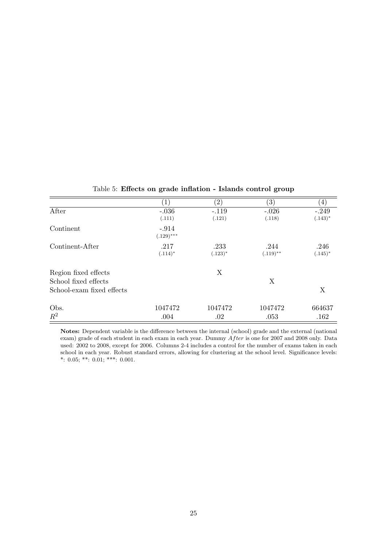|                           | $\left  \right $ | $\left( 2\right)$ | $\left(3\right)$ | 4          |
|---------------------------|------------------|-------------------|------------------|------------|
| After                     | $-.036$          | $-.119$           | $-.026$          | $-.249$    |
|                           | (.111)           | (.121)            | (.118)           | $(.143)^*$ |
| Continent                 | $-.914$          |                   |                  |            |
|                           | $(.129)$ ***     |                   |                  |            |
| Continent-After           | .217             | .233              | .244             | .246       |
|                           | $(.114)^*$       | $(.123)^*$        | $(.119)$ **      | $(.145)^*$ |
| Region fixed effects      |                  | X                 |                  |            |
| School fixed effects      |                  |                   | X                |            |
| School-exam fixed effects |                  |                   |                  | X          |
| Obs.                      | 1047472          | 1047472           | 1047472          | 664637     |
| $R^2$                     | .004             | .02               | .053             | .162       |

<span id="page-26-0"></span>Table 5: Effects on grade inflation - Islands control group

Notes: Dependent variable is the difference between the internal (school) grade and the external (national exam) grade of each student in each exam in each year. Dummy After is one for 2007 and 2008 only. Data used: 2002 to 2008, except for 2006. Columns 2-4 includes a control for the number of exams taken in each school in each year. Robust standard errors, allowing for clustering at the school level. Significance levels: \*: 0.05; \*\*: 0.01; \*\*\*: 0.001.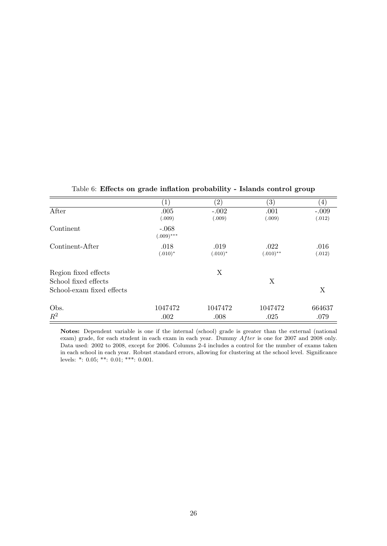|                           | $\left  \right $                  | $\left( 2\right)$ | $\left(3\right)$    | 4)             |
|---------------------------|-----------------------------------|-------------------|---------------------|----------------|
| After                     | .005                              | $-.002$           | .001                | $-.009$        |
| Continent                 | (.009)<br>$-.068$<br>$(.009)$ *** | (.009)            | (.009)              | (.012)         |
| Continent-After           | .018<br>$(.010)*$                 | .019<br>$(.010)*$ | .022<br>$(.010)$ ** | .016<br>(.012) |
| Region fixed effects      |                                   | X                 |                     |                |
| School fixed effects      |                                   |                   | X                   |                |
| School-exam fixed effects |                                   |                   |                     | X              |
| Obs.                      | 1047472                           | 1047472           | 1047472             | 664637         |
| $R^2$                     | .002                              | .008              | .025                | .079           |

<span id="page-27-0"></span>Table 6: Effects on grade inflation probability - Islands control group

Notes: Dependent variable is one if the internal (school) grade is greater than the external (national exam) grade, for each student in each exam in each year. Dummy  $After$  is one for 2007 and 2008 only. Data used: 2002 to 2008, except for 2006. Columns 2-4 includes a control for the number of exams taken in each school in each year. Robust standard errors, allowing for clustering at the school level. Significance levels: \*: 0.05; \*\*: 0.01; \*\*\*: 0.001.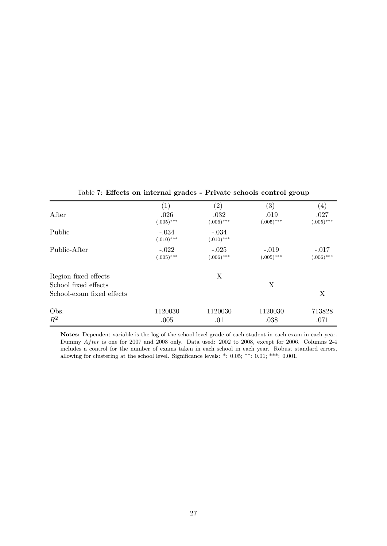|                                                   | $\left(1\right)$        | $\left( 2\right)$       | $\left( 3\right)$       | $\left(4\right)$        |
|---------------------------------------------------|-------------------------|-------------------------|-------------------------|-------------------------|
| After                                             | .026<br>$(.005)$ ***    | .032<br>$(.006)$ ***    | .019<br>$(.005)$ ***    | .027<br>$(.005)$ ***    |
| Public                                            | $-.034$<br>$(.010)$ *** | $-.034$<br>$(.010)$ *** |                         |                         |
| Public-After                                      | $-.022$<br>$(.005)$ *** | $-.025$<br>$(.006)$ *** | $-.019$<br>$(.005)$ *** | $-.017$<br>$(.006)$ *** |
| Region fixed effects                              |                         | Χ                       |                         |                         |
| School fixed effects<br>School-exam fixed effects |                         |                         | Χ                       | X                       |
| Obs.                                              | 1120030                 | 1120030                 | 1120030                 | 713828                  |
| $R^2$                                             | .005                    | .01                     | .038                    | .071                    |

<span id="page-28-0"></span>Table 7: Effects on internal grades - Private schools control group

Notes: Dependent variable is the log of the school-level grade of each student in each exam in each year. Dummy After is one for 2007 and 2008 only. Data used: 2002 to 2008, except for 2006. Columns 2-4 includes a control for the number of exams taken in each school in each year. Robust standard errors, allowing for clustering at the school level. Significance levels: \*: 0.05; \*\*: 0.01; \*\*\*: 0.001.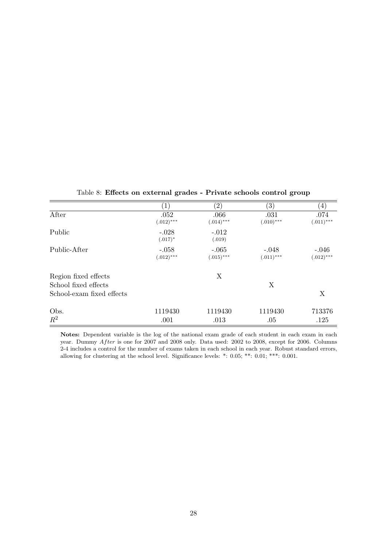|                                              | $\left(1\right)$        | $\left( 2\right)$       | $^{\prime}3)$           | $\left(4\right)$        |
|----------------------------------------------|-------------------------|-------------------------|-------------------------|-------------------------|
| After                                        | .052<br>$(.012)***$     | .066<br>$(.014)***$     | .031<br>$(.010)$ ***    | .074<br>$(.011)$ ***    |
| Public                                       | $-.028$<br>$(.017)^*$   | $-.012$<br>(.019)       |                         |                         |
| Public-After                                 | $-.058$<br>$(.012)$ *** | $-.065$<br>$(.015)$ *** | $-.048$<br>$(.011)$ *** | $-.046$<br>$(.012)$ *** |
| Region fixed effects<br>School fixed effects |                         | X                       | X                       |                         |
| School-exam fixed effects                    |                         |                         |                         | X                       |
| Obs.                                         | 1119430                 | 1119430                 | 1119430                 | 713376                  |
| $R^2$                                        | .001                    | .013                    | .05                     | .125                    |

<span id="page-29-0"></span>Table 8: Effects on external grades - Private schools control group

Notes: Dependent variable is the log of the national exam grade of each student in each exam in each year. Dummy After is one for 2007 and 2008 only. Data used: 2002 to 2008, except for 2006. Columns 2-4 includes a control for the number of exams taken in each school in each year. Robust standard errors, allowing for clustering at the school level. Significance levels: \*: 0.05; \*\*: 0.01; \*\*\*: 0.001.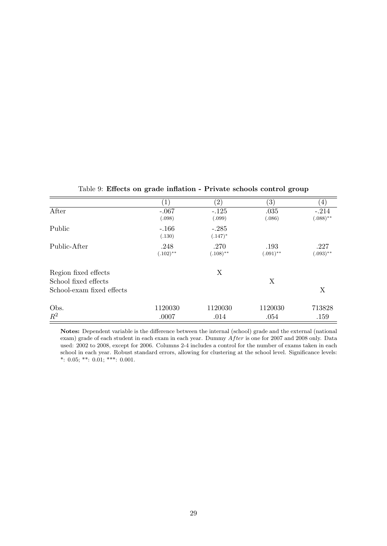|                           | $\left 1\right\rangle$ | $\binom{2}{}$ | $\left(3\right)$ | 4           |
|---------------------------|------------------------|---------------|------------------|-------------|
| After                     | $-.067$                | $-.125$       | .035             | $-.214$     |
|                           | (.098)                 | (.099)        | (.086)           | $(.088)$ ** |
| Public                    | $-.166$                | $-.285$       |                  |             |
|                           | (.130)                 | $(.147)^*$    |                  |             |
| Public-After              | .248                   | .270          | .193             | .227        |
|                           | $(.102)$ **            | $(.108)$ **   | $(.091)$ **      | $(.093)$ ** |
| Region fixed effects      |                        | X             |                  |             |
| School fixed effects      |                        |               | X                |             |
| School-exam fixed effects |                        |               |                  | X           |
| Obs.                      | 1120030                | 1120030       | 1120030          | 713828      |
| $R^2$                     | .0007                  | .014          | .054             | .159        |

<span id="page-30-0"></span>Table 9: Effects on grade inflation - Private schools control group

Notes: Dependent variable is the difference between the internal (school) grade and the external (national exam) grade of each student in each exam in each year. Dummy After is one for 2007 and 2008 only. Data used: 2002 to 2008, except for 2006. Columns 2-4 includes a control for the number of exams taken in each school in each year. Robust standard errors, allowing for clustering at the school level. Significance levels: \*: 0.05; \*\*: 0.01; \*\*\*: 0.001.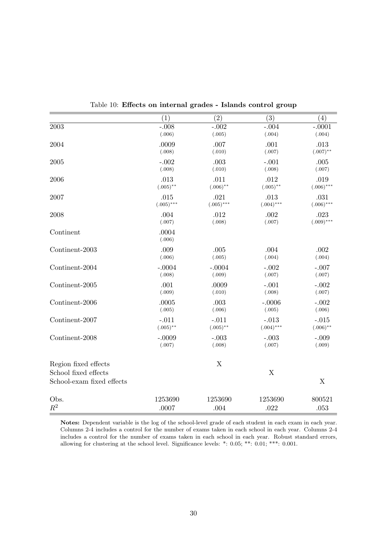|                           | (1)                | $\left( 2\right)$  | (3)               | $\left( 4\right)$ |
|---------------------------|--------------------|--------------------|-------------------|-------------------|
| 2003                      | $-.008$            | $-.002$            | $-.004$           | $-.0001$          |
|                           | (.006)             | (.005)             | (.004)            | (.004)            |
| 2004                      | .0009              | .007               | .001              | .013              |
|                           | (.008)             | (.010)             | (.007)            | $(.007)$ **       |
| 2005                      | $-.002$            | .003               | $-.001$           | .005              |
|                           | (.008)             | (.010)             | (.008)            | (.007)            |
| 2006                      | .013               | .011               | .012              | .019              |
|                           | $(.005)$ **        | $(.006)$ **        | $(.005)$ **       | $(.006)$ ***      |
| 2007                      | .015               | .021               | .013              | .031              |
|                           | $(.005)$ ***       | $(.005)$ ***       | $(.004)$ ***      | $(.006)$ ***      |
| 2008                      | .004               | .012               | .002              | .023              |
|                           | (.007)             | (.008)             | (.007)            | $(.009)$ ***      |
| Continent                 | .0004              |                    |                   |                   |
|                           | (.006)             |                    |                   |                   |
| Continent-2003            | .009<br>(.006)     | .005<br>(.005)     | .004<br>(.004)    | .002              |
|                           |                    |                    |                   | (.004)            |
| Continent-2004            | $-.0004$<br>(.008) | $-.0004$<br>(.009) | $-.002$<br>(.007) | $-.007$<br>(.007) |
|                           |                    |                    |                   |                   |
| Continent-2005            | .001<br>(.009)     | .0009<br>(.010)    | $-.001$<br>(.008) | $-.002$<br>(.007) |
| Continent-2006            | .0005              | .003               | $-.0006$          | $-.002$           |
|                           | (.005)             | (.006)             | (.005)            | (.006)            |
| Continent-2007            | $-.011$            | $-.011$            | $-.013$           | $-.015$           |
|                           | $(.005)$ **        | $(.005)$ **        | $(.004)$ ***      | $(.006)$ **       |
| Continent-2008            | $-.0009$           | $-.003$            | $-.003$           | $-.009$           |
|                           | (.007)             | (.008)             | (.007)            | (.009)            |
| Region fixed effects      |                    | $\mathbf X$        |                   |                   |
| School fixed effects      |                    |                    | X                 |                   |
| School-exam fixed effects |                    |                    |                   | X                 |
|                           |                    |                    |                   |                   |
| Obs.                      | 1253690            | 1253690            | 1253690           | 800521            |
| $R^2$                     | .0007              | .004               | .022              | .053              |

<span id="page-31-0"></span>Table 10: Effects on internal grades - Islands control group

Notes: Dependent variable is the log of the school-level grade of each student in each exam in each year. Columns 2-4 includes a control for the number of exams taken in each school in each year. Columns 2-4 includes a control for the number of exams taken in each school in each year. Robust standard errors, allowing for clustering at the school level. Significance levels: \*: 0.05; \*\*: 0.01; \*\*\*: 0.001.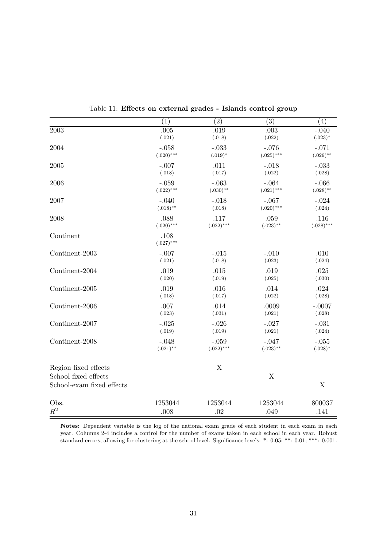|                           | (1)                     | (2)                     | (3)                    | (4)               |
|---------------------------|-------------------------|-------------------------|------------------------|-------------------|
| 2003                      | .005                    | .019                    | .003                   | $-.040$           |
|                           | (.021)                  | (.018)                  | (.022)                 | $(.023)*$         |
| 2004                      | $-.058$<br>$(.020)$ *** | $-.033$                 | $-.076$                | $-.071$           |
|                           |                         | $(.019)^*$              | $(.025)$ ***           | $(.029)$ **       |
| 2005                      | $-.007$<br>(.018)       | .011<br>(.017)          | $-.018$<br>(.022)      | $-.033$<br>(.028) |
| 2006                      | $-.059$                 | $-.063$                 | $-.064$                | $-.066$           |
|                           | $(.022)***$             | $(.030)$ **             | $(.021)***$            | $(.028)$ **       |
| 2007                      | $-.040$                 | $-.018$                 | $-.067$                | $-.024$           |
|                           | $(.018)$ **             | (.018)                  | $(.020)$ ***           | (.024)            |
| 2008                      | .088                    | .117                    | .059                   | .116              |
|                           | $(.020)$ ***            | $(.022)$ ***            | $(.023)$ **            | $(.028)$ ***      |
| Continent                 | .108<br>$(.027)$ ***    |                         |                        |                   |
| Continent-2003            | $-.007$                 | $-.015$                 | $-.010$                | .010              |
|                           | (.021)                  | (.018)                  | (.023)                 | (.024)            |
| Continent-2004            | .019                    | .015                    | .019                   | .025              |
|                           | (.020)                  | (.019)                  | (.025)                 | (.030)            |
| Continent-2005            | .019                    | .016                    | .014                   | .024              |
|                           | (.018)                  | (.017)                  | (.022)                 | (.028)            |
| Continent-2006            | .007                    | .014                    | .0009                  | $-.0007$          |
|                           | (.023)                  | (.031)                  | (.021)                 | (.028)            |
| Continent-2007            | $-.025$                 | $-.026$                 | $-.027$                | $-.031$           |
|                           | (.019)                  | (.019)                  | (.021)                 | (.024)            |
| Continent-2008            | $-.048$<br>$(.021)$ **  | $-.059$<br>$(.022)$ *** | $-.047$<br>$(.023)$ ** | $-.055$           |
|                           |                         |                         |                        | $(.028)^*$        |
| Region fixed effects      |                         | X                       |                        |                   |
| School fixed effects      |                         |                         | X                      |                   |
| School-exam fixed effects |                         |                         |                        | X                 |
|                           |                         |                         |                        |                   |
| Obs.                      | 1253044                 | 1253044                 | 1253044                | 800037            |
| $R^2$                     | .008                    | .02                     | .049                   | .141              |

<span id="page-32-0"></span>Table 11: Effects on external grades - Islands control group

Notes: Dependent variable is the log of the national exam grade of each student in each exam in each year. Columns 2-4 includes a control for the number of exams taken in each school in each year. Robust standard errors, allowing for clustering at the school level. Significance levels: \*: 0.05; \*\*: 0.01; \*\*\*: 0.001.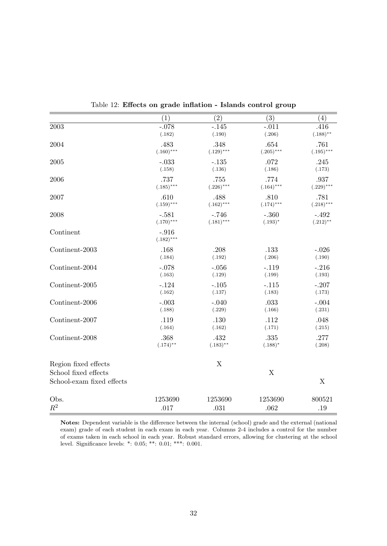|                           | (1)                     | (2)          | (3)          | (4)          |
|---------------------------|-------------------------|--------------|--------------|--------------|
| 2003                      | $-.078$                 | $-.145$      | $-.011$      | .416         |
|                           | (.182)                  | (.190)       | (.206)       | $(.188)$ **  |
| 2004                      | .483                    | .348         | .654         | .761         |
|                           | $(.160)$ ***            | $(.129)$ *** | $(.205)***$  | $(.195)***$  |
| 2005                      | $-.033$                 | $-.135$      | .072         | .245         |
|                           | (.158)                  | (.136)       | (.186)       | (.173)       |
| 2006                      | .737                    | .755         | .774         | .937         |
|                           | $(.185)$ ***            | $(.226)$ *** | $(.164)$ *** | $(.229)$ *** |
| 2007                      | .610                    | .488         | .810         | .781         |
|                           | $(.159)$ ***            | $(.162)$ *** | $(.174)$ *** | $(.218)$ *** |
| 2008                      | $-.581$                 | $-.746$      | $-.360$      | $-.492$      |
|                           | $(.170)$ ***            | $(.181)***$  | $(.193)^*$   | $(.212)$ **  |
| Continent                 | $-.916$<br>$(.182)$ *** |              |              |              |
| Continent-2003            | .168                    | .208         | .133         | $-.026$      |
|                           | (.184)                  | (.192)       | (.206)       | (.190)       |
| Continent-2004            | $-.078$                 | $-.056$      | $-.119$      | $-.216$      |
|                           | (.163)                  | (.129)       | (.199)       | (.193)       |
| Continent-2005            | $-.124$                 | $-.105$      | $-.115$      | $-.207$      |
|                           | (.162)                  | (.137)       | (.183)       | (.173)       |
| Continent-2006            | $-.003$                 | $-.040$      | .033         | $-.004$      |
|                           | (.188)                  | (.229)       | (.166)       | (.231)       |
| Continent-2007            | .119                    | .130         | .112         | .048         |
|                           | (.164)                  | (.162)       | (.171)       | (.215)       |
| Continent-2008            | .368                    | .432         | .335         | .277         |
|                           | $(.174)$ **             | $(.183)$ **  | $(.188)*$    | (.208)       |
| Region fixed effects      |                         | $\mathbf X$  |              |              |
| School fixed effects      |                         |              | $\mathbf X$  |              |
| School-exam fixed effects |                         |              |              | X            |
| Obs.                      | 1253690                 | 1253690      | 1253690      | 800521       |
| $R^2$                     | .017                    | .031         | .062         | .19          |

<span id="page-33-0"></span>Table 12: Effects on grade inflation - Islands control group

Notes: Dependent variable is the difference between the internal (school) grade and the external (national exam) grade of each student in each exam in each year. Columns 2-4 includes a control for the number of exams taken in each school in each year. Robust standard errors, allowing for clustering at the school level. Significance levels: \*: 0.05; \*\*: 0.01; \*\*\*: 0.001.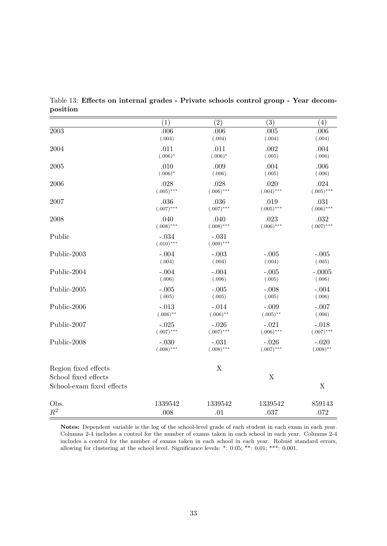|                                                   | (1)                     | (2)                     | (3)          | (4)          |
|---------------------------------------------------|-------------------------|-------------------------|--------------|--------------|
| $\,2003\,$                                        | .006                    | .006                    | .005         | .006         |
|                                                   | (.004)                  | (.004)                  | (.004)       | (.004)       |
| 2004                                              | .011                    | .011                    | .002         | .004         |
|                                                   | $(.006)^*$              | $(.006)^*$              | (.005)       | (.006)       |
| 2005                                              | .010                    | .009                    | .004         | .006         |
|                                                   | $(.006)^*$              | (.006)                  | (.005)       | (.006)       |
| 2006                                              | .028                    | .028                    | .020         | .024         |
|                                                   | $(.005)$ ***            | $(.006)$ ***            | $(.004)$ *** | $(.005)$ *** |
| 2007                                              | .036                    | .036                    | .019         | .031         |
|                                                   | $(.007)$ ***            | $(.007)$ ***            | $(.005)$ *** | $(.006)$ *** |
| 2008                                              | .040                    | .040                    | .023         | .032         |
|                                                   | $(.008)$ ***            | $(.008)$ ***            | $(.006)$ *** | $(.007)$ *** |
| Public                                            | $-.034$<br>$(.010)$ *** | $-.031$<br>$(.009)$ *** |              |              |
| Public-2003                                       | $-.004$                 | $-.003$                 | $-.005$      | $-.005$      |
|                                                   | (.004)                  | (.004)                  | (.004)       | (.005)       |
| Public-2004                                       | $-.004$                 | $-.004$                 | $-.005$      | $-.0005$     |
|                                                   | (.006)                  | (.006)                  | (.005)       | (.006)       |
| Public-2005                                       | $-.005$                 | $-.005$                 | $-.008$      | $-.004$      |
|                                                   | (.005)                  | (.005)                  | (.005)       | (.006)       |
| Public-2006                                       | $-.013$                 | $-.014$                 | $-.009$      | $-.007$      |
|                                                   | $(.006)$ **             | $(.006)$ **             | $(.005)$ **  | (.006)       |
| Public-2007                                       | $-.025$                 | $-.026$                 | $-.021$      | $-.018$      |
|                                                   | $(.007)$ ***            | $(.007)$ ***            | $(.006)$ *** | $(.007)$ *** |
| Public-2008                                       | $-.030$                 | $-.031$                 | $-.026$      | $-.020$      |
|                                                   | $(.008)$ ***            | $(.008)$ ***            | $(.007)$ *** | $(.008)$ **  |
| Region fixed effects                              |                         | $\mathbf X$             |              |              |
| School fixed effects<br>School-exam fixed effects |                         |                         | $\mathbf X$  | $\mathbf X$  |
| Obs.                                              | 1339542                 | 1339542                 | 1339542      | 859143       |
| $R^2$                                             | .008                    | .01                     | .037         | .072         |

<span id="page-34-0"></span>Table 13: Effects on internal grades - Private schools control group - Year decomposition

Notes: Dependent variable is the log of the school-level grade of each student in each exam in each year. Columns 2-4 includes a control for the number of exams taken in each school in each year. Columns 2-4 includes a control for the number of exams taken in each school in each year. Robust standard errors, allowing for clustering at the school level. Significance levels: \*: 0.05; \*\*: 0.01; \*\*\*: 0.001.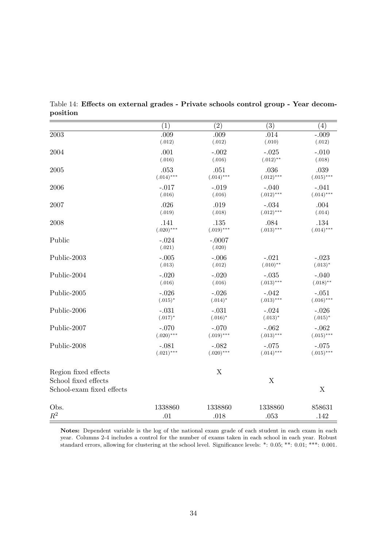|                           | (1)               | $\left( 2\right)$  | (3)          | (4)          |
|---------------------------|-------------------|--------------------|--------------|--------------|
| 2003                      | .009              | .009               | .014         | $-.009$      |
|                           | (.012)            | (.012)             | (.010)       | (.012)       |
| 2004                      | .001              | $-.002$            | $-.025$      | $-.010$      |
|                           | (.016)            | (.016)             | $(.012)$ **  | (.018)       |
| 2005                      | .053              | .051               | .036         | .039         |
|                           | $(.014)$ ***      | $(.014)***$        | $(.012)$ *** | $(.015)$ *** |
| 2006                      | $-.017$           | $-.019$            | $-.040$      | $-.041$      |
|                           | (.016)            | (.016)             | $(.012)$ *** | $(.014)$ *** |
| 2007                      | .026              | .019               | $-.034$      | .004         |
|                           | (.019)            | (.018)             | $(.012)$ *** | (.014)       |
| 2008                      | .141              | .135               | .084         | .134         |
|                           | $(.020)$ ***      | $(.019)$ ***       | $(.013)***$  | $(.014)$ *** |
| Public                    | $-.024$<br>(.021) | $-.0007$<br>(.020) |              |              |
| Public-2003               | $-.005$           | $-.006$            | $-.021$      | $-.023$      |
|                           | (.013)            | (.012)             | $(.010)$ **  | $(.013)*$    |
| Public-2004               | $-.020$           | $-.020$            | $-.035$      | $-.040$      |
|                           | (.016)            | (.016)             | $(.013)$ *** | $(.018)$ **  |
| Public-2005               | $-.026$           | $-.026$            | $-.042$      | $-.051$      |
|                           | $(.015)^*$        | $(.014)^*$         | $(.013)***$  | $(.016)$ *** |
| Public-2006               | $-.031$           | $-.031$            | $-.024$      | $-.026$      |
|                           | $(.017)^*$        | $(.016)^*$         | $(.013)*$    | $(.015)^*$   |
| Public-2007               | $-.070$           | $-.070$            | $-.062$      | $-.062$      |
|                           | $(.020)$ ***      | $(.019)$ ***       | $(.013)***$  | $(.015)$ *** |
| Public-2008               | $-.081$           | $-.082$            | $-.075$      | $-.075$      |
|                           | $(.021)$ ***      | $(.020)$ ***       | $(.014)$ *** | $(.015)$ *** |
| Region fixed effects      |                   | X                  |              |              |
| School fixed effects      |                   |                    | $\mathbf X$  |              |
| School-exam fixed effects |                   |                    |              | X            |
| Obs.                      | 1338860           | 1338860            | 1338860      | 858631       |
| $R^2$                     | .01               | .018               | .053         | .142         |

<span id="page-35-0"></span>Table 14: Effects on external grades - Private schools control group - Year decomposition

Notes: Dependent variable is the log of the national exam grade of each student in each exam in each year. Columns 2-4 includes a control for the number of exams taken in each school in each year. Robust standard errors, allowing for clustering at the school level. Significance levels: \*: 0.05; \*\*: 0.01; \*\*\*: 0.001.